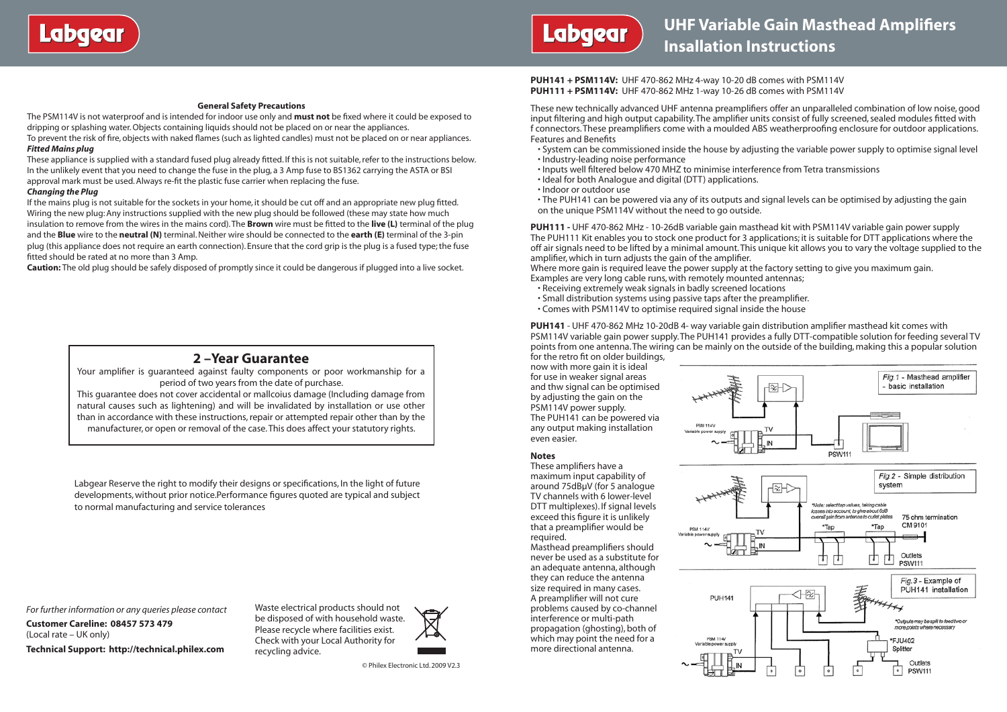

#### **General Safety Precautions**

The PSM114V is not waterproof and is intended for indoor use only and **must not** be fixed where it could be exposed to dripping or splashing water. Objects containing liquids should not be placed on or near the appliances. To prevent the risk of fire, objects with naked flames (such as lighted candles) must not be placed on or near appliances. *Fitted Mains plug*

#### These appliance is supplied with a standard fused plug already fitted. If this is not suitable, refer to the instructions below. In the unlikely event that you need to change the fuse in the plug, a 3 Amp fuse to BS1362 carrying the ASTA or BSI approval mark must be used. Always re-fit the plastic fuse carrier when replacing the fuse.

#### *Changing the Plug*

If the mains plug is not suitable for the sockets in your home, it should be cut off and an appropriate new plug fitted. Wiring the new plug: Any instructions supplied with the new plug should be followed (these may state how much insulation to remove from the wires in the mains cord). The **Brown** wire must be fitted to the **live (L)** terminal of the plug and the **Blue** wire to the **neutral (N)** terminal. Neither wire should be connected to the **earth (E)** terminal of the 3-pin plug (this appliance does not require an earth connection). Ensure that the cord grip is the plug is a fused type; the fuse fitted should be rated at no more than 3 Amp.

**Caution:** The old plug should be safely disposed of promptly since it could be dangerous if plugged into a live socket.

### **2 –Year Guarantee**

Your amplifier is guaranteed against faulty components or poor workmanship for a period of two years from the date of purchase.

This guarantee does not cover accidental or mallcoius damage (Including damage from natural causes such as lightening) and will be invalidated by installation or use other than in accordance with these instructions, repair or attempted repair other than by the manufacturer, or open or removal of the case. This does affect your statutory rights.

Labgear Reserve the right to modify their designs or specifications, In the light of future developments, without prior notice.Performance figures quoted are typical and subject to normal manufacturing and service tolerances

*For further information or any queries please contact*

**Customer Careline: 08457 573 479** (Local rate – UK only)

**Technical Support: http://technical.philex.com**

Waste electrical products should not be disposed of with household waste. Please recycle where facilities exist. Check with your Local Authority for recycling advice.



**PUH141 + PSM114V:** UHF 470-862 MHz 4-way 10-20 dB comes with PSM114V **PUH111 + PSM114V:** UHF 470-862 MHz 1-way 10-26 dB comes with PSM114V

These new technically advanced UHF antenna preamplifiers offer an unparalleled combination of low noise, good input filtering and high output capability. The amplifier units consist of fully screened, sealed modules fitted with f connectors. These preamplifiers come with a moulded ABS weatherproofing enclosure for outdoor applications. Features and Benefits

• System can be commissioned inside the house by adjusting the variable power supply to optimise signal level • Industry-leading noise performance

• Inputs well filtered below 470 MHZ to minimise interference from Tetra transmissions

- Ideal for both Analogue and digital (DTT) applications.
- Indoor or outdoor use

• The PUH141 can be powered via any of its outputs and signal levels can be optimised by adjusting the gain on the unique PSM114V without the need to go outside.

**PUH111 -** UHF 470-862 MHz - 10-26dB variable gain masthead kit with PSM114V variable gain power supply The PUH111 Kit enables you to stock one product for 3 applications; it is suitable for DTT applications where the off air signals need to be lifted by a minimal amount. This unique kit allows you to vary the voltage supplied to the amplifier, which in turn adjusts the gain of the amplifier.

Where more gain is required leave the power supply at the factory setting to give you maximum gain. Examples are very long cable runs, with remotely mounted antennas;

• Receiving extremely weak signals in badly screened locations

- Small distribution systems using passive taps after the preamplifier.
- Comes with PSM114V to optimise required signal inside the house

**PUH141** - UHF 470-862 MHz 10-20dB 4- way variable gain distribution amplifier masthead kit comes with PSM114V variable gain power supply. The PUH141 provides a fully DTT-compatible solution for feeding several TV points from one antenna. The wiring can be mainly on the outside of the building, making this a popular solution for the retro fit on older buildings,

now with more gain it is ideal for use in weaker signal areas and thw signal can be optimised by adjusting the gain on the PSM114V power supply. The PUH141 can be powered via any output making installation even easier.

#### **Notes**

These amplifiers have a maximum input capability of around 75dBμV (for 5 analogue TV channels with 6 lower-level DTT multiplexes). If signal levels exceed this figure it is unlikely that a preamplifier would be required.

Masthead preamplifiers should never be used as a substitute for an adequate antenna, although they can reduce the antenna size required in many cases. A preamplifier will not cure problems caused by co-channel interference or multi-path propagation (ghosting), both of which may point the need for a more directional antenna.